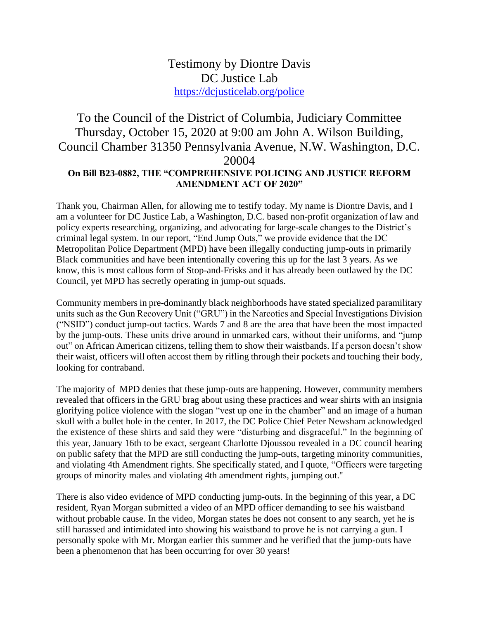## Testimony by Diontre Davis DC Justice Lab <https://dcjusticelab.org/police>

## To the Council of the District of Columbia, Judiciary Committee Thursday, October 15, 2020 at 9:00 am John A. Wilson Building, Council Chamber 31350 Pennsylvania Avenue, N.W. Washington, D.C. 20004 **On Bill B23-0882, THE "COMPREHENSIVE POLICING AND JUSTICE REFORM AMENDMENT ACT OF 2020"**

Thank you, Chairman Allen, for allowing me to testify today. My name is Diontre Davis, and I am a volunteer for DC Justice Lab, a Washington, D.C. based non-profit organization of law and policy experts researching, organizing, and advocating for large-scale changes to the District's criminal legal system. In our report, "End Jump Outs," we provide evidence that the DC Metropolitan Police Department (MPD) have been illegally conducting jump-outs in primarily Black communities and have been intentionally covering this up for the last 3 years. As we know, this is most callous form of Stop-and-Frisks and it has already been outlawed by the DC Council, yet MPD has secretly operating in jump-out squads.

Community members in pre-dominantly black neighborhoods have stated specialized paramilitary units such as the Gun Recovery Unit ("GRU") in the Narcotics and Special Investigations Division ("NSID") conduct jump-out tactics. Wards 7 and 8 are the area that have been the most impacted by the jump-outs. These units drive around in unmarked cars, without their uniforms, and "jump out" on African American citizens, telling them to show their waistbands. If a person doesn't show their waist, officers will often accost them by rifling through their pockets and touching their body, looking for contraband.

The majority of MPD denies that these jump-outs are happening. However, community members revealed that officers in the GRU brag about using these practices and wear shirts with an insignia glorifying police violence with the slogan "vest up one in the chamber" and an image of a human skull with a bullet hole in the center. In 2017, the DC Police Chief Peter Newsham acknowledged the existence of these shirts and said they were "disturbing and disgraceful." In the beginning of this year, January 16th to be exact, sergeant Charlotte Djoussou revealed in a DC council hearing on public safety that the MPD are still conducting the jump-outs, targeting minority communities, and violating 4th Amendment rights. She specifically stated, and I quote, "Officers were targeting groups of minority males and violating 4th amendment rights, jumping out."

There is also video evidence of MPD conducting jump-outs. In the beginning of this year, a DC resident, Ryan Morgan submitted a video of an MPD officer demanding to see his waistband without probable cause. In the video, Morgan states he does not consent to any search, yet he is still harassed and intimidated into showing his waistband to prove he is not carrying a gun. I personally spoke with Mr. Morgan earlier this summer and he verified that the jump-outs have been a phenomenon that has been occurring for over 30 years!